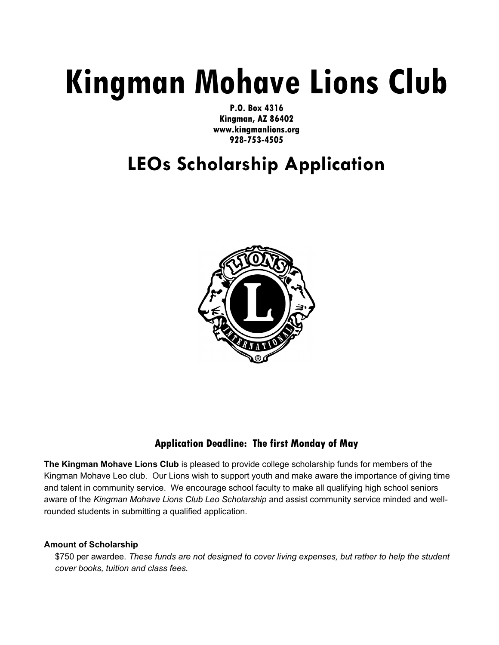# Kingman Mohave Lions Club

P.O. Box 4316 Kingman, AZ 86402 www.kingmanlions.org 928-753-4505

## LEOs Scholarship Application



### Application Deadline: The first Monday of May

The Kingman Mohave Lions Club is pleased to provide college scholarship funds for members of the Kingman Mohave Leo club. Our Lions wish to support youth and make aware the importance of giving time and talent in community service. We encourage school faculty to make all qualifying high school seniors aware of the Kingman Mohave Lions Club Leo Scholarship and assist community service minded and wellrounded students in submitting a qualified application.

#### Amount of Scholarship

\$750 per awardee. These funds are not designed to cover living expenses, but rather to help the student cover books, tuition and class fees.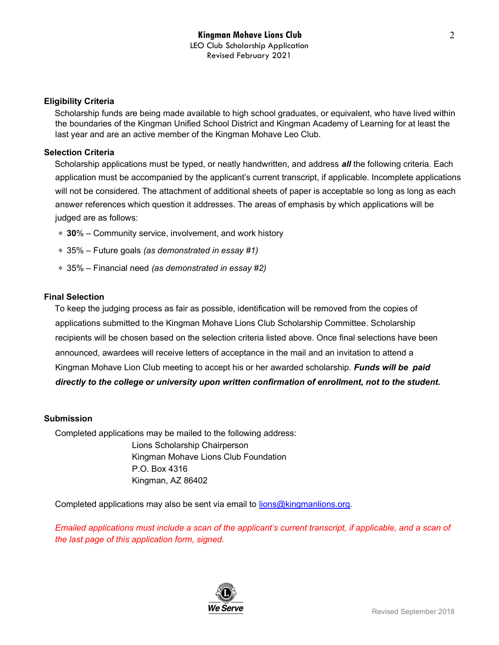#### Eligibility Criteria

Scholarship funds are being made available to high school graduates, or equivalent, who have lived within the boundaries of the Kingman Unified School District and Kingman Academy of Learning for at least the last year and are an active member of the Kingman Mohave Leo Club.

#### Selection Criteria

Scholarship applications must be typed, or neatly handwritten, and address *all* the following criteria. Each application must be accompanied by the applicant's current transcript, if applicable. Incomplete applications will not be considered. The attachment of additional sheets of paper is acceptable so long as long as each answer references which question it addresses. The areas of emphasis by which applications will be judged are as follows:

- ∗ 30% Community service, involvement, and work history
- ∗ 35% Future goals (as demonstrated in essay #1)
- ∗ 35% Financial need (as demonstrated in essay #2)

#### Final Selection

To keep the judging process as fair as possible, identification will be removed from the copies of applications submitted to the Kingman Mohave Lions Club Scholarship Committee. Scholarship recipients will be chosen based on the selection criteria listed above. Once final selections have been announced, awardees will receive letters of acceptance in the mail and an invitation to attend a Kingman Mohave Lion Club meeting to accept his or her awarded scholarship. **Funds will be paid** directly to the college or university upon written confirmation of enrollment, not to the student.

#### Submission

Completed applications may be mailed to the following address: Lions Scholarship Chairperson Kingman Mohave Lions Club Foundation P.O. Box 4316 Kingman, AZ 86402

Completed applications may also be sent via email to lions@kingmanlions.org.

Emailed applications must include a scan of the applicant's current transcript, if applicable, and a scan of the last page of this application form, signed.

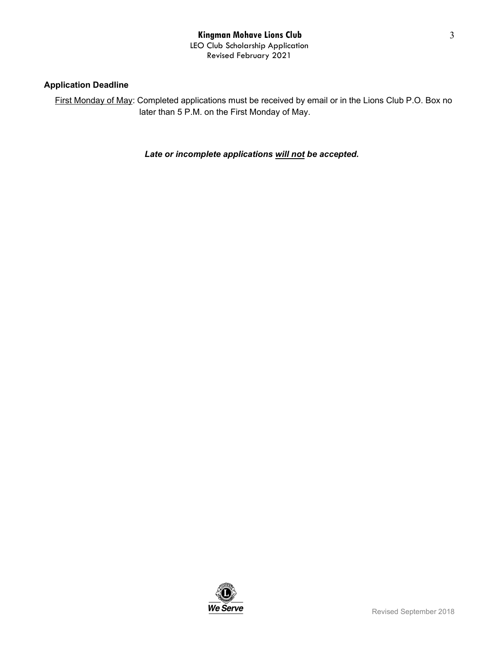#### Application Deadline

First Monday of May: Completed applications must be received by email or in the Lions Club P.O. Box no later than 5 P.M. on the First Monday of May.

#### Late or incomplete applications will not be accepted.



3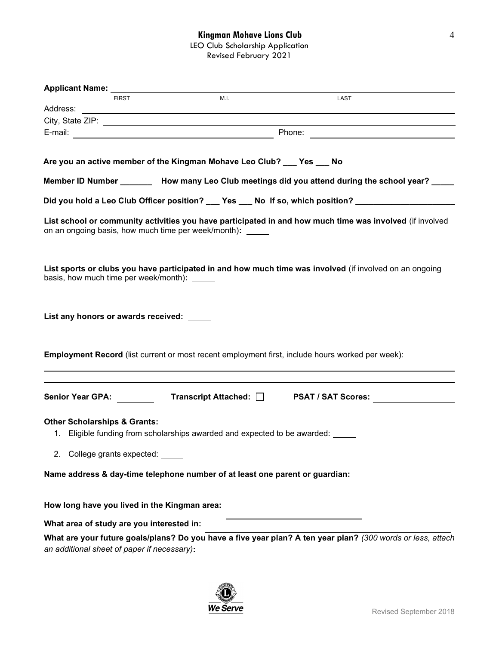| <b>Applicant Name:</b>                                                                                               |      |                                                                                                             |  |
|----------------------------------------------------------------------------------------------------------------------|------|-------------------------------------------------------------------------------------------------------------|--|
| <b>FIRST</b>                                                                                                         | M.I. | LAST                                                                                                        |  |
|                                                                                                                      |      |                                                                                                             |  |
|                                                                                                                      |      |                                                                                                             |  |
|                                                                                                                      |      |                                                                                                             |  |
|                                                                                                                      |      |                                                                                                             |  |
| Are you an active member of the Kingman Mohave Leo Club? ___ Yes ___ No                                              |      |                                                                                                             |  |
|                                                                                                                      |      | Member ID Number __________ How many Leo Club meetings did you attend during the school year? _____         |  |
|                                                                                                                      |      | Did you hold a Leo Club Officer position? ___ Yes ___ No If so, which position? ___________________         |  |
| on an ongoing basis, how much time per week/month): _____                                                            |      | List school or community activities you have participated in and how much time was involved (if involved    |  |
| basis, how much time per week/month): _____                                                                          |      | List sports or clubs you have participated in and how much time was involved (if involved on an ongoing     |  |
| List any honors or awards received: _____                                                                            |      |                                                                                                             |  |
|                                                                                                                      |      | <b>Employment Record</b> (list current or most recent employment first, include hours worked per week):     |  |
| <b>Senior Year GPA:</b>                                                                                              |      |                                                                                                             |  |
| <b>Other Scholarships &amp; Grants:</b><br>1. Eligible funding from scholarships awarded and expected to be awarded: |      |                                                                                                             |  |
| 2. College grants expected:                                                                                          |      |                                                                                                             |  |
| Name address & day-time telephone number of at least one parent or guardian:                                         |      |                                                                                                             |  |
| How long have you lived in the Kingman area:                                                                         |      |                                                                                                             |  |
| What area of study are you interested in:                                                                            |      |                                                                                                             |  |
| an additional sheet of paper if necessary):                                                                          |      | What are your future goals/plans? Do you have a five year plan? A ten year plan? (300 words or less, attach |  |